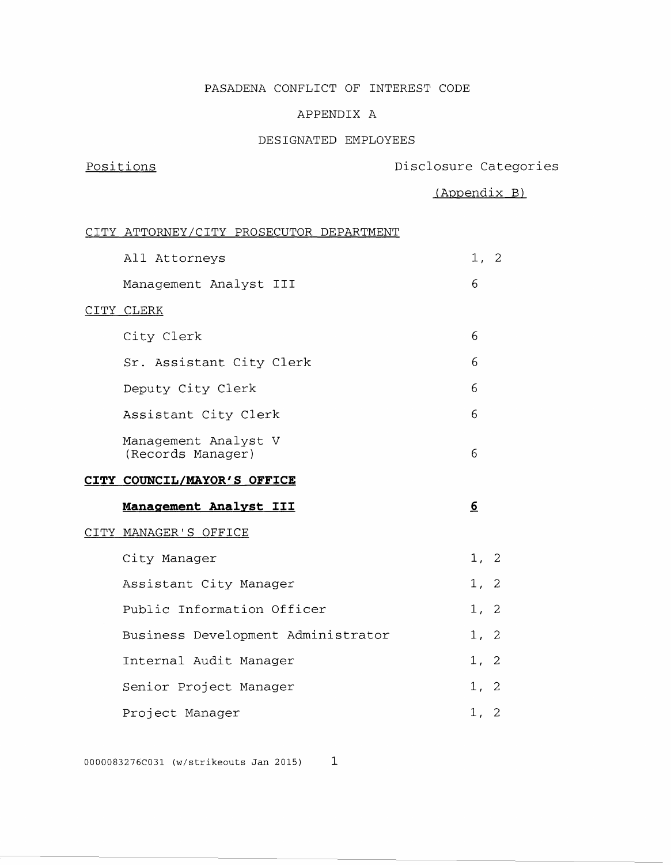### PASADENA CONFLICT OF INTEREST CODE

### APPENDIX A

### DESIGNATED EMPLOYEES

# Positions **Positions** Disclosure Categories

(Appendix B)

### CITY ATTORNEY/CITY PROSECUTOR DEPARTMENT

| All Attorneys                             | 1,             | 2  |
|-------------------------------------------|----------------|----|
| Management Analyst III                    | 6              |    |
| CITY CLERK                                |                |    |
| City Clerk                                | 6              |    |
| Sr. Assistant City Clerk                  | 6              |    |
| Deputy City Clerk                         | 6              |    |
| Assistant City Clerk                      | 6              |    |
| Management Analyst V<br>(Records Manager) | 6              |    |
| CITY COUNCIL/MAYOR'S OFFICE               |                |    |
|                                           |                |    |
| Management Analyst III                    | <u>6</u>       |    |
| CITY MANAGER'S OFFICE                     |                |    |
| City Manager                              | 1,             | 2  |
| Assistant City Manager                    | 1 <sub>1</sub> | 2  |
| Public Information Officer                | 1,             | 2  |
| Business Development Administrator        | 1 <sub>1</sub> | 2  |
| Internal Audit Manager                    | 1,             | 2  |
| Senior Project Manager                    | 1,             | -2 |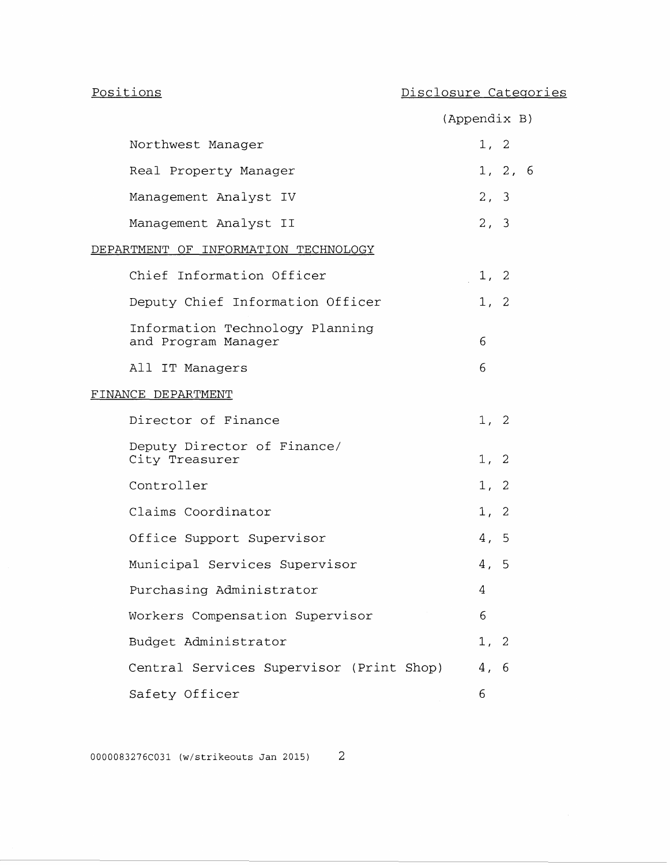# Positions

# Disclosure Categories

|                                                        | (Appendix B) |
|--------------------------------------------------------|--------------|
| Northwest Manager                                      | 1, 2         |
| Real Property Manager                                  | 1, 2, 6      |
| Management Analyst IV                                  | 2, 3         |
| Management Analyst II                                  | 2, 3         |
| DEPARTMENT OF INFORMATION TECHNOLOGY                   |              |
| Chief Information Officer                              | 1, 2         |
| Deputy Chief Information Officer                       | 1, 2         |
| Information Technology Planning<br>and Program Manager | 6            |
| All IT Managers                                        | 6            |
| FINANCE DEPARTMENT                                     |              |
| Director of Finance                                    | 1, 2         |
| Deputy Director of Finance/<br>City Treasurer          | 1, 2         |
| Controller                                             | 1, 2         |
| Claims Coordinator                                     | 1, 2         |
| Office Support Supervisor                              | 4, 5         |
| Municipal Services Supervisor                          | 4, 5         |
| Purchasing Administrator                               | 4            |
| Workers Compensation Supervisor                        | 6            |
| Budget Administrator                                   | 1, 2         |
| Central Services Supervisor (Print Shop)               | 4, 6         |
| Safety Officer                                         | 6            |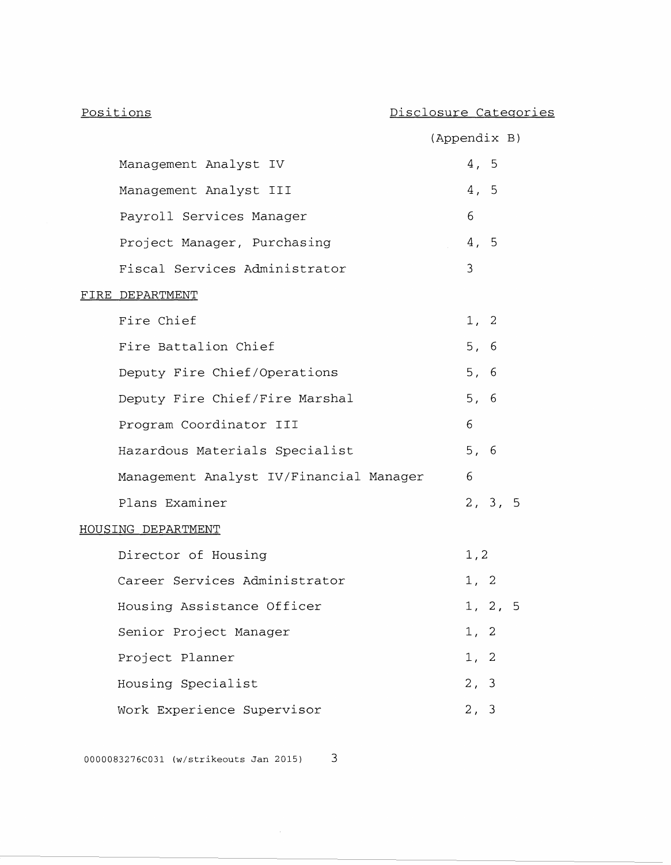|                                         | (Appendix B) |      |         |     |
|-----------------------------------------|--------------|------|---------|-----|
| Management Analyst IV                   |              | 4, 5 |         |     |
| Management Analyst III                  |              | 4, 5 |         |     |
| Payroll Services Manager                |              | 6    |         |     |
| Project Manager, Purchasing             |              | 4, 5 |         |     |
| Fiscal Services Administrator           |              | 3    |         |     |
| FIRE DEPARTMENT                         |              |      |         |     |
| Fire Chief                              |              | 1, 2 |         |     |
| Fire Battalion Chief                    |              | 5, 6 |         |     |
| Deputy Fire Chief/Operations            |              | 5, 6 |         |     |
| Deputy Fire Chief/Fire Marshal          |              | 5, 6 |         |     |
| Program Coordinator III                 |              | 6    |         |     |
| Hazardous Materials Specialist          |              | 5, 6 |         |     |
| Management Analyst IV/Financial Manager |              | 6    |         |     |
| Plans Examiner                          |              |      | 2, 3, 5 |     |
| HOUSING DEPARTMENT                      |              |      |         |     |
| Director of Housing                     |              | 1, 2 |         |     |
| Career Services Administrator           |              | 1, 2 |         |     |
| Housing Assistance Officer              |              |      | 1, 2,   | - 5 |
| Senior Project Manager                  |              | 1, 2 |         |     |
| Project Planner                         |              | 1, 2 |         |     |
| Housing Specialist                      |              | 2, 3 |         |     |
| Work Experience Supervisor              |              | 2, 3 |         |     |

0000083276C031 (w/strikeouts Jan 2015) 3

 $\sim$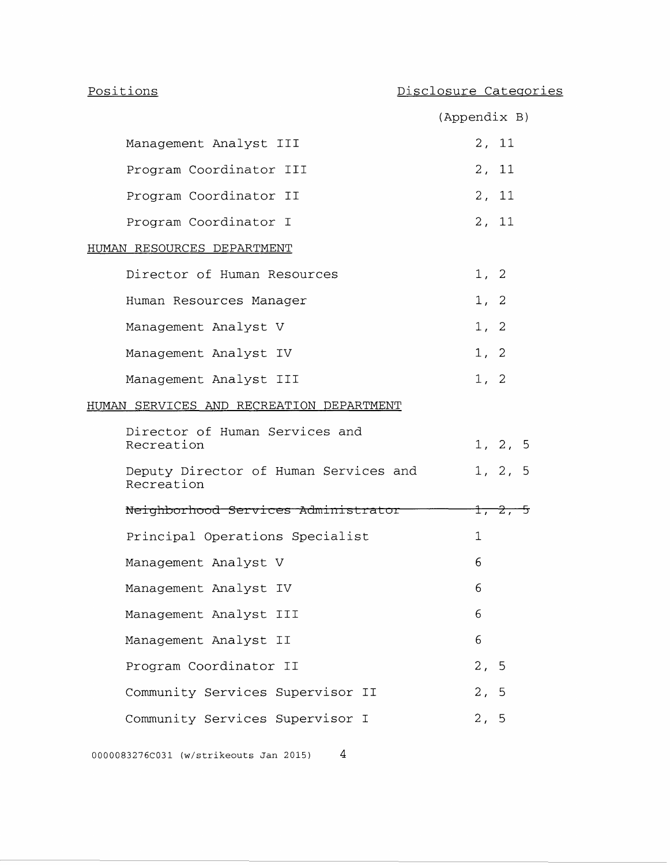|                                                     | (Appendix B)         |
|-----------------------------------------------------|----------------------|
| Management Analyst III                              | 2, 11                |
| Program Coordinator III                             | 2 <sub>r</sub><br>11 |
| Program Coordinator II                              | 2, 11                |
| Program Coordinator I                               | 2, 11                |
| <u>HUMAN RESOURCES DEPARTMENT</u>                   |                      |
| Director of Human Resources                         | 1, 2                 |
| Human Resources Manager                             | 2<br>1,              |
| Management Analyst V                                | 1, 2                 |
| Management Analyst IV                               | 1, 2                 |
| Management Analyst III                              | 1, 2                 |
| HUMAN SERVICES AND RECREATION DEPARTMENT            |                      |
| Director of Human Services and<br>Recreation        | 1, 2, 5              |
| Deputy Director of Human Services and<br>Recreation | 1, 2, 5              |
| Neighborhood Services Administrator                 | 1, 2,<br>一ヶ          |
| Principal Operations Specialist                     | 1                    |
| Management Analyst V                                | 6                    |
| Management Analyst IV                               | 6                    |
| Management Analyst III                              | 6                    |
| Management Analyst II                               | 6                    |
| Program Coordinator II                              | 2 <sub>r</sub><br>5  |
| Community Services Supervisor II                    | 2,<br>5              |
|                                                     |                      |

Community Services Supervisor I and the 2, 5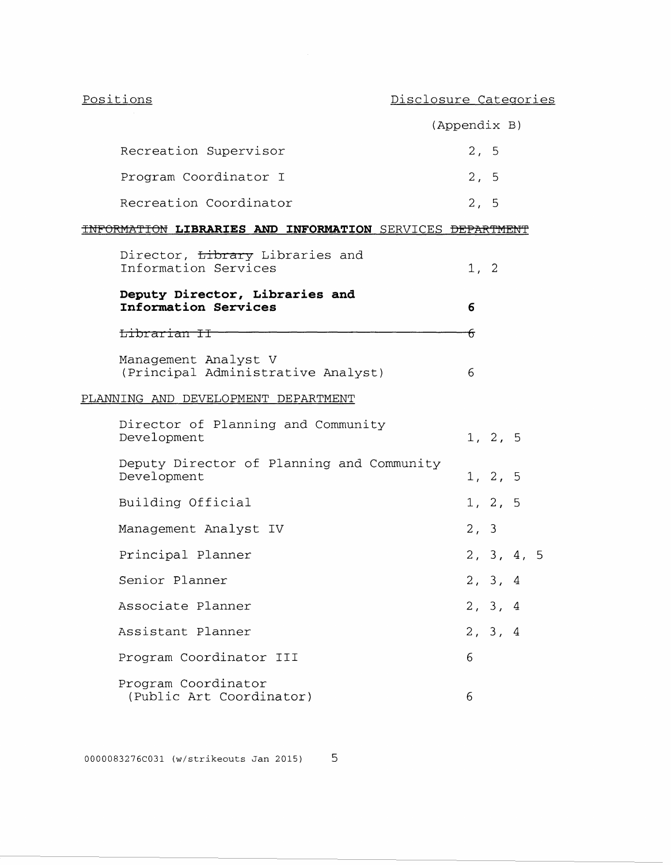|                                                                      | (Appendix B) |         |            |  |
|----------------------------------------------------------------------|--------------|---------|------------|--|
| Recreation Supervisor                                                | 2, 5         |         |            |  |
| Program Coordinator I                                                | 2, 5         |         |            |  |
| Recreation Coordinator                                               | 2, 5         |         |            |  |
| INFORMATION LIBRARIES AND INFORMATION SERVICES <del>DEPARTMENT</del> |              |         |            |  |
| Director, Library Libraries and<br>Information Services              | 1, 2         |         |            |  |
| Deputy Director, Libraries and<br>Information Services               | 6            |         |            |  |
| <del>Librarian II</del>                                              | ᠊ᠻ           |         |            |  |
| Management Analyst V<br>(Principal Administrative Analyst)           | 6            |         |            |  |
| PLANNING AND DEVELOPMENT DEPARTMENT                                  |              |         |            |  |
| Director of Planning and Community<br>Development                    |              | 1, 2, 5 |            |  |
| Deputy Director of Planning and Community<br>Development             |              | 1, 2, 5 |            |  |
| Building Official                                                    |              | 1, 2, 5 |            |  |
| Management Analyst IV                                                | 2, 3         |         |            |  |
| Principal Planner                                                    |              |         | 2, 3, 4, 5 |  |
| Senior Planner                                                       |              | 2, 3, 4 |            |  |
| Associate Planner                                                    |              | 2, 3, 4 |            |  |
| Assistant Planner                                                    |              | 2, 3, 4 |            |  |
| Program Coordinator III                                              | 6            |         |            |  |
| Program Coordinator<br>(Public Art Coordinator)                      | 6            |         |            |  |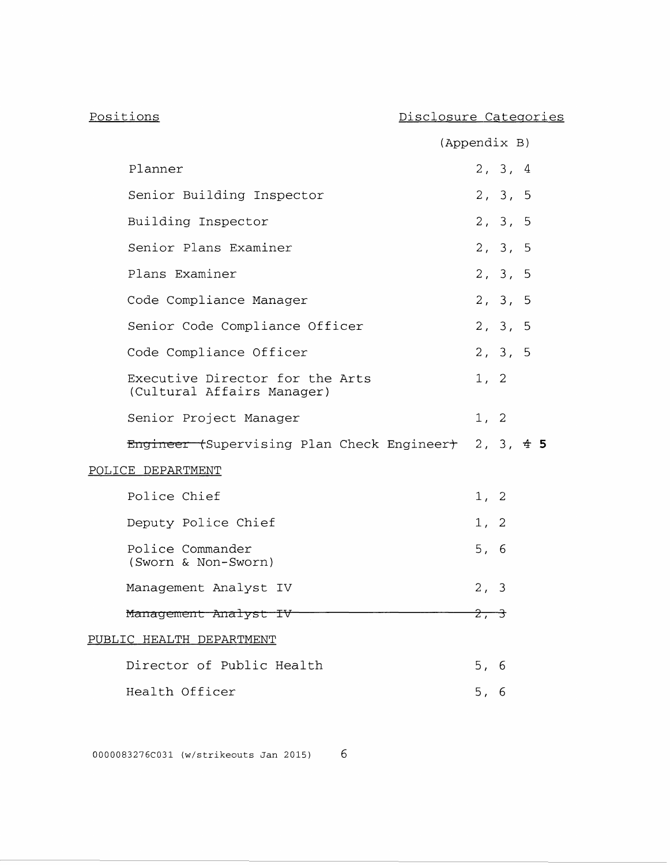| Positions                                                     | Disclosure Categories |
|---------------------------------------------------------------|-----------------------|
|                                                               | (Appendix B)          |
| Planner                                                       | 2, 3, 4               |
| Senior Building Inspector                                     | 2, 3, 5               |
| Building Inspector                                            | 2, 3, 5               |
| Senior Plans Examiner                                         | 2, 3, 5               |
| Plans Examiner                                                | 2, 3, 5               |
| Code Compliance Manager                                       | 2, 3, 5               |
| Senior Code Compliance Officer                                | 2, 3, 5               |
| Code Compliance Officer                                       | 2, 3, 5               |
| Executive Director for the Arts<br>(Cultural Affairs Manager) | 1, 2                  |
| Senior Project Manager                                        | 1, 2                  |
| Engineer (Supervising Plan Check Engineer) 2, 3, 4 5          |                       |
| POLICE DEPARTMENT                                             |                       |
| Police Chief                                                  | 1, 2                  |
| Deputy Police Chief                                           | 1, 2                  |
| Police Commander<br>(Sworn & Non-Sworn)                       | 5, 6                  |
| Management Analyst IV                                         | 2, 3                  |
| Management Analyst IV                                         | $2, -3$               |
| PUBLIC HEALTH DEPARTMENT                                      |                       |
| Director of Public Health                                     | 5, 6                  |
| Health Officer                                                | 5, 6                  |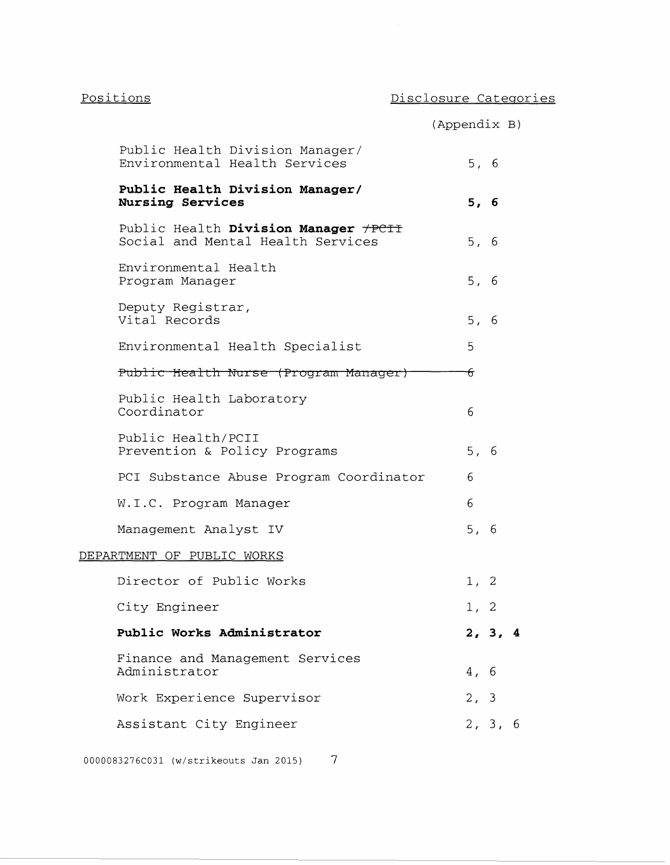|                                                                           | (Appendix B) |      |         |  |
|---------------------------------------------------------------------------|--------------|------|---------|--|
| Public Health Division Manager/<br>Environmental Health Services          |              | 5, 6 |         |  |
| Public Health Division Manager/<br>Nursing Services                       |              | 5, 6 |         |  |
| Public Health Division Manager +PCII<br>Social and Mental Health Services |              | 5, 6 |         |  |
| Environmental Health<br>Program Manager                                   |              | 5, 6 |         |  |
| Deputy Registrar,<br>Vital Records                                        |              | 5, 6 |         |  |
| Environmental Health Specialist                                           |              | 5    |         |  |
| Public Health Nurse (Program Manager)                                     |              | ᠊ᡠ   |         |  |
| Public Health Laboratory<br>Coordinator                                   |              | 6    |         |  |
| Public Health/PCII<br>Prevention & Policy Programs                        |              | 5, 6 |         |  |
| PCI Substance Abuse Program Coordinator                                   |              | 6    |         |  |
| W.I.C. Program Manager                                                    |              | 6    |         |  |
| Management Analyst IV                                                     |              | 5, 6 |         |  |
| DEPARTMENT OF PUBLIC WORKS                                                |              |      |         |  |
| Director of Public Works                                                  |              | 1, 2 |         |  |
| City Engineer                                                             |              | 1, 2 |         |  |
| Public Works Administrator                                                |              |      | 2, 3, 4 |  |
| Finance and Management Services<br>Administrator                          |              | 4, 6 |         |  |
| Work Experience Supervisor                                                |              | 2, 3 |         |  |
| Assistant City Engineer                                                   |              |      | 2, 3, 6 |  |
|                                                                           |              |      |         |  |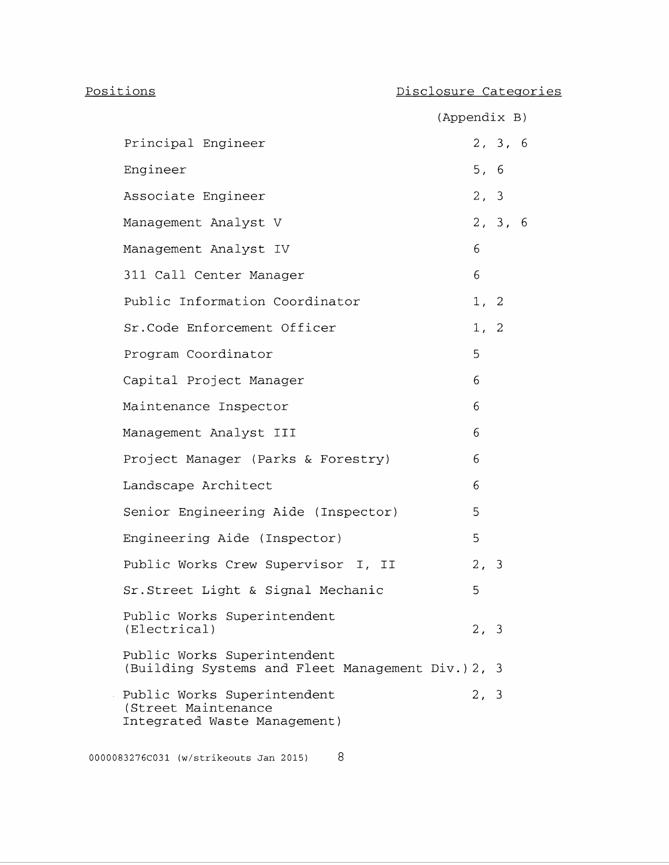### Positions

### Disclosure Categories

|                                                                                    | (Appendix B) |         |  |
|------------------------------------------------------------------------------------|--------------|---------|--|
| Principal Engineer                                                                 |              | 2, 3, 6 |  |
| Engineer                                                                           | 5, 6         |         |  |
| Associate Engineer                                                                 | 2, 3         |         |  |
| Management Analyst V                                                               |              | 2, 3, 6 |  |
| Management Analyst IV                                                              | 6            |         |  |
| 311 Call Center Manager                                                            | 6            |         |  |
| Public Information Coordinator                                                     | 1, 2         |         |  |
| Sr. Code Enforcement Officer                                                       | 1, 2         |         |  |
| Program Coordinator                                                                | 5            |         |  |
| Capital Project Manager                                                            | 6            |         |  |
| Maintenance Inspector                                                              | 6            |         |  |
| Management Analyst III                                                             | 6            |         |  |
| Project Manager (Parks & Forestry)                                                 | 6            |         |  |
| Landscape Architect                                                                | 6            |         |  |
| Senior Engineering Aide (Inspector)                                                | 5            |         |  |
| Engineering Aide (Inspector)                                                       | 5            |         |  |
| Public Works Crew Supervisor I, II                                                 | 2, 3         |         |  |
| Sr. Street Light & Signal Mechanic                                                 | 5            |         |  |
| Public Works Superintendent<br>(Electrical)                                        | 2, 3         |         |  |
| Public Works Superintendent<br>(Building Systems and Fleet Management Div.) 2, 3   |              |         |  |
| Public Works Superintendent<br>(Street Maintenance<br>Integrated Waste Management) | 2, 3         |         |  |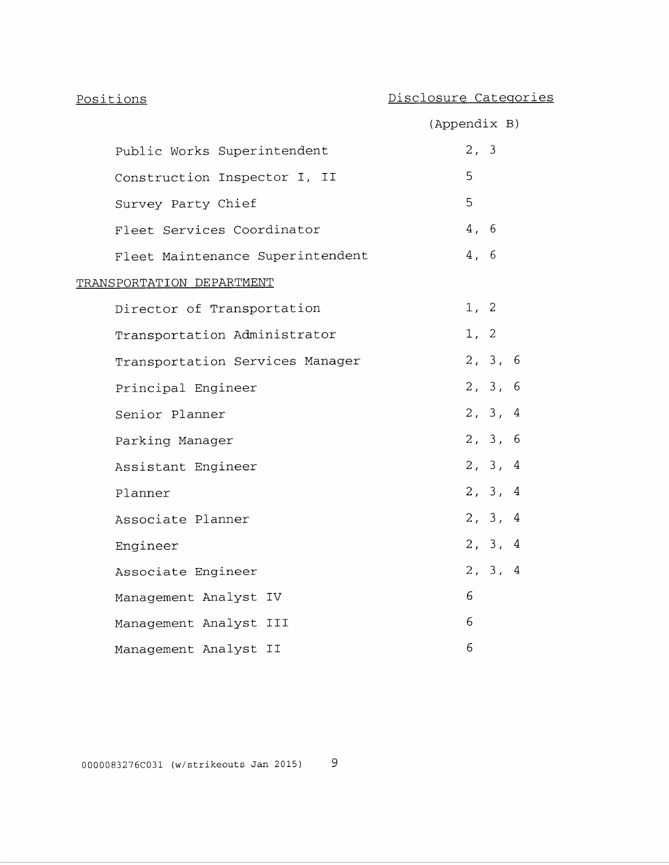| Positions                        | Disclosure Categories |
|----------------------------------|-----------------------|
|                                  | (Appendix B)          |
| Public Works Superintendent      | 2, 3                  |
| Construction Inspector I, II     | 5                     |
| Survey Party Chief               | 5                     |
| Fleet Services Coordinator       | 4, 6                  |
| Fleet Maintenance Superintendent | 4, 6                  |
| TRANSPORTATION DEPARTMENT        |                       |
| Director of Transportation       | 1, 2                  |
| Transportation Administrator     | 1, 2                  |
| Transportation Services Manager  | 2, 3, 6               |
| Principal Engineer               | 2, 3, 6               |
| Senior Planner                   | 2, 3, 4               |
| Parking Manager                  | 2, 3, 6               |
| Assistant Engineer               | 2, 3, 4               |
| Planner                          | 2, 3, 4               |
| Associate Planner                | 2, 3, 4               |
| Engineer                         | 2, 3, 4               |
| Associate Engineer               | 2, 3, 4               |
| Management Analyst IV            | 6                     |
| Management Analyst III           | 6                     |
| Management Analyst II            | 6                     |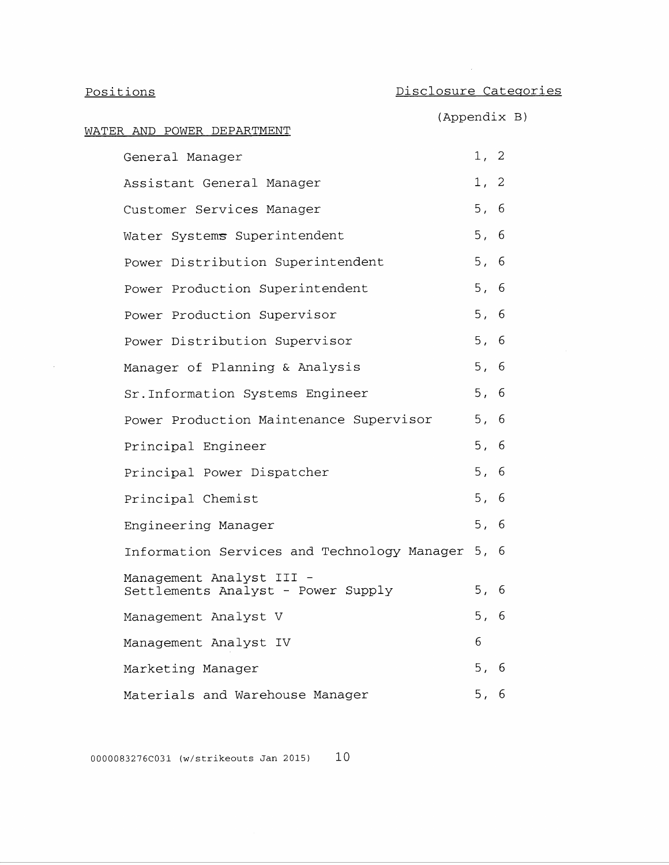$\sim$   $\sim$ 

 $\sim$ 

| Positions                                                      | Disclosure Categories |
|----------------------------------------------------------------|-----------------------|
| WATER AND POWER DEPARTMENT                                     | (Appendix B)          |
| General Manager                                                | 1, 2                  |
| Assistant General Manager                                      | 1, 2                  |
| Customer Services Manager                                      | 5, 6                  |
| Water Systems Superintendent                                   | 5, 6                  |
| Power Distribution Superintendent                              | 5, 6                  |
| Power Production Superintendent                                | 5, 6                  |
| Power Production Supervisor                                    | 5, 6                  |
| Power Distribution Supervisor                                  | 5, 6                  |
| Manager of Planning & Analysis                                 | 5, 6                  |
| Sr. Information Systems Engineer                               | 5, 6                  |
| Power Production Maintenance Supervisor                        | 5, 6                  |
| Principal Engineer                                             | 5, 6                  |
| Principal Power Dispatcher                                     | 5, 6                  |
| Principal Chemist                                              | 5, 6                  |
| Engineering Manager                                            | 5, 6                  |
| Information Services and Technology Manager 5, 6               |                       |
| Management Analyst III -<br>Settlements Analyst - Power Supply | 5, 6                  |
| Management Analyst V                                           | 5, 6                  |
| Management Analyst IV                                          | 6                     |
| Marketing Manager                                              | 5, 6                  |
| Materials and Warehouse Manager                                | 5, 6                  |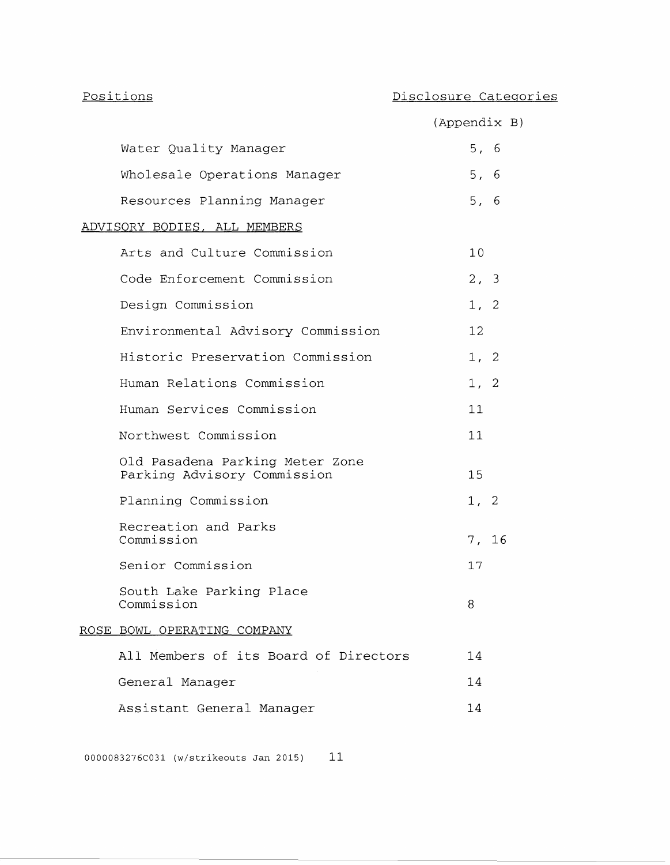|                                                                | (Appendix B)      |  |
|----------------------------------------------------------------|-------------------|--|
| Water Quality Manager                                          | 5, 6              |  |
| Wholesale Operations Manager                                   | 5, 6              |  |
| Resources Planning Manager                                     | 5, 6              |  |
| ADVISORY BODIES, ALL MEMBERS                                   |                   |  |
| Arts and Culture Commission                                    | 10                |  |
| Code Enforcement Commission                                    | 2, 3              |  |
| Design Commission                                              | 1, 2              |  |
| Environmental Advisory Commission                              | $12 \overline{ }$ |  |
| Historic Preservation Commission                               | 1, 2              |  |
| Human Relations Commission                                     | 1, 2              |  |
| Human Services Commission                                      | 11                |  |
| Northwest Commission                                           | 11                |  |
| Old Pasadena Parking Meter Zone<br>Parking Advisory Commission | 15                |  |
| Planning Commission                                            | 1, 2              |  |
| Recreation and Parks<br>Commission                             | 7, 16             |  |
| Senior Commission                                              | 17                |  |
| South Lake Parking Place<br>Commission                         | ୪                 |  |
| ROSE BOWL OPERATING COMPANY                                    |                   |  |
| All Members of its Board of Directors                          | 14                |  |
| General Manager                                                | 14                |  |
| Assistant General Manager                                      | 14                |  |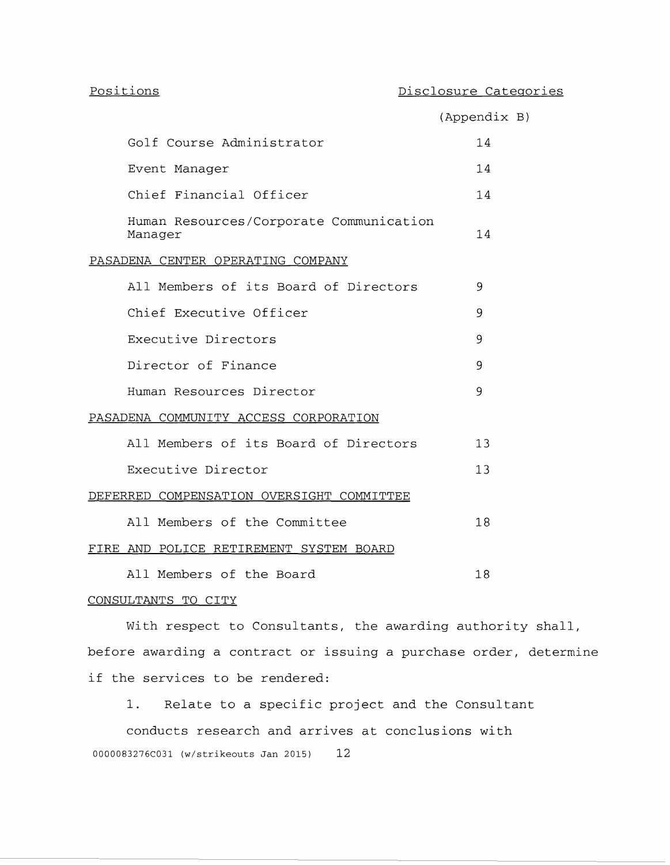|                                                    | (Appendix B) |  |
|----------------------------------------------------|--------------|--|
| Golf Course Administrator                          | 14           |  |
| Event Manager                                      | 14           |  |
| Chief Financial Officer                            | 14           |  |
| Human Resources/Corporate Communication<br>Manager | 14           |  |
| PASADENA CENTER OPERATING COMPANY                  |              |  |
| All Members of its Board of Directors              | 9            |  |
| Chief Executive Officer                            | 9            |  |
| Executive Directors                                | 9            |  |
| Director of Finance                                | 9            |  |
| Human Resources Director                           | 9            |  |
| PASADENA COMMUNITY ACCESS CORPORATION              |              |  |
| All Members of its Board of Directors              | 13           |  |
| Executive Director                                 | 13           |  |
| DEFERRED COMPENSATION OVERSIGHT COMMITTEE          |              |  |
| All Members of the Committee                       | 18           |  |
| FIRE AND POLICE RETIREMENT SYSTEM BOARD            |              |  |
| All Members of the Board                           | 18           |  |

### CONSULTANTS TO CITY

With respect to Consultants, the awarding authority shall, before awarding a contract or issuing a purchase order, determine if the services to be rendered:

1. Relate to a specific project and the Consultant

conducts research and arrives at conclusions with 0000083276C031 (w/strikeouts Jan 2015) 12